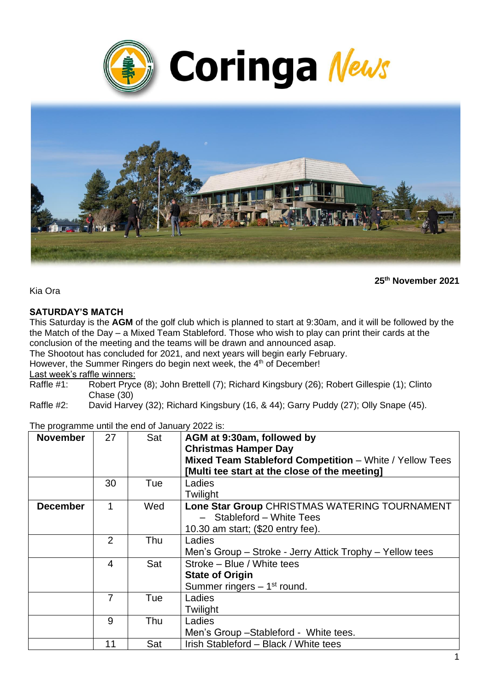



**25th November 2021**

Kia Ora

#### **SATURDAY'S MATCH**

This Saturday is the **AGM** of the golf club which is planned to start at 9:30am, and it will be followed by the the Match of the Day – a Mixed Team Stableford. Those who wish to play can print their cards at the conclusion of the meeting and the teams will be drawn and announced asap.

The Shootout has concluded for 2021, and next years will begin early February.

However, the Summer Ringers do begin next week, the 4<sup>th</sup> of December!

Last week's raffle winners:<br>Raffle #1: Robert Prvc

Robert Pryce (8); John Brettell (7); Richard Kingsbury (26); Robert Gillespie (1); Clinto Chase (30)

Raffle #2: David Harvey (32); Richard Kingsbury (16, & 44); Garry Puddy (27); Olly Snape (45).

| The programme until the end of January 2022 is: |  |  |
|-------------------------------------------------|--|--|
|-------------------------------------------------|--|--|

| <b>November</b> | 27             | Sat | AGM at 9:30am, followed by<br><b>Christmas Hamper Day</b><br>Mixed Team Stableford Competition - White / Yellow Tees<br>[Multi tee start at the close of the meeting] |
|-----------------|----------------|-----|-----------------------------------------------------------------------------------------------------------------------------------------------------------------------|
|                 | 30             | Tue | Ladies<br>Twilight                                                                                                                                                    |
| <b>December</b> | 1              | Wed | Lone Star Group CHRISTMAS WATERING TOURNAMENT<br>- Stableford - White Tees<br>10.30 am start; (\$20 entry fee).                                                       |
|                 | $\overline{2}$ | Thu | Ladies<br>Men's Group – Stroke - Jerry Attick Trophy – Yellow tees                                                                                                    |
|                 | 4              | Sat | Stroke – Blue / White tees<br><b>State of Origin</b><br>Summer ringers $-1st$ round.                                                                                  |
|                 | 7              | Tue | Ladies<br>Twilight                                                                                                                                                    |
|                 | 9              | Thu | Ladies<br>Men's Group - Stableford - White tees.                                                                                                                      |
|                 | 11             | Sat | Irish Stableford - Black / White tees                                                                                                                                 |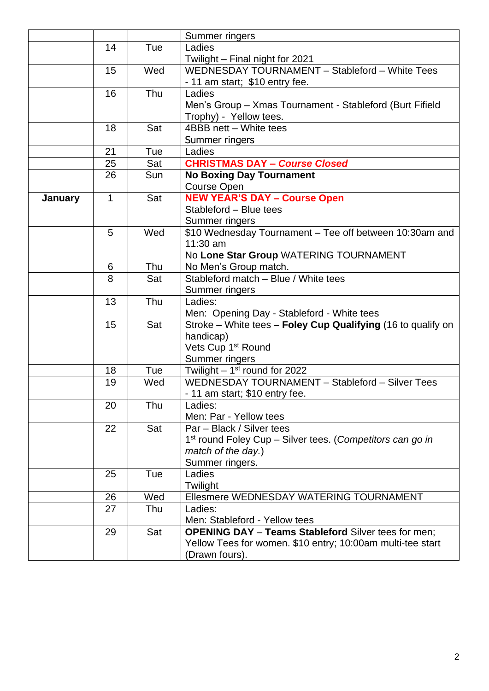|         |              |     | Summer ringers                                                        |  |
|---------|--------------|-----|-----------------------------------------------------------------------|--|
|         | 14           | Tue | Ladies                                                                |  |
|         |              |     | Twilight - Final night for 2021                                       |  |
|         | 15           | Wed | WEDNESDAY TOURNAMENT - Stableford - White Tees                        |  |
|         |              |     | - 11 am start; \$10 entry fee.                                        |  |
|         | 16           | Thu | Ladies                                                                |  |
|         |              |     | Men's Group - Xmas Tournament - Stableford (Burt Fifield              |  |
|         |              |     | Trophy) - Yellow tees.                                                |  |
|         | 18           | Sat | 4BBB nett - White tees                                                |  |
|         |              |     | Summer ringers                                                        |  |
|         | 21           | Tue | Ladies                                                                |  |
|         | 25           | Sat | <b>CHRISTMAS DAY - Course Closed</b>                                  |  |
|         | 26           | Sun | <b>No Boxing Day Tournament</b>                                       |  |
|         |              |     | <b>Course Open</b>                                                    |  |
| January | $\mathbf{1}$ | Sat | <b>NEW YEAR'S DAY - Course Open</b>                                   |  |
|         |              |     | Stableford - Blue tees                                                |  |
|         |              |     | Summer ringers                                                        |  |
|         | 5            | Wed | \$10 Wednesday Tournament - Tee off between 10:30am and               |  |
|         |              |     | 11:30 am                                                              |  |
|         |              |     | No Lone Star Group WATERING TOURNAMENT                                |  |
|         | 6            | Thu | No Men's Group match.                                                 |  |
|         | 8            | Sat | Stableford match - Blue / White tees                                  |  |
|         |              |     | Summer ringers                                                        |  |
|         | 13           | Thu | Ladies:                                                               |  |
|         |              |     | Men: Opening Day - Stableford - White tees                            |  |
|         | 15           | Sat | Stroke – White tees – Foley Cup Qualifying (16 to qualify on          |  |
|         |              |     | handicap)                                                             |  |
|         |              |     | Vets Cup 1 <sup>st</sup> Round                                        |  |
|         |              |     | Summer ringers                                                        |  |
|         | 18           | Tue | Twilight $-1st$ round for 2022                                        |  |
|         | 19           | Wed | WEDNESDAY TOURNAMENT - Stableford - Silver Tees                       |  |
|         |              |     | - 11 am start: \$10 entry fee.                                        |  |
|         | 20           | Thu | Ladies:                                                               |  |
|         |              |     | Men: Par - Yellow tees                                                |  |
|         | 22           | Sat | Par - Black / Silver tees                                             |  |
|         |              |     | 1 <sup>st</sup> round Foley Cup - Silver tees. (Competitors can go in |  |
|         |              |     | match of the day.)                                                    |  |
|         |              |     | Summer ringers.                                                       |  |
|         | 25           | Tue | Ladies                                                                |  |
|         |              |     | Twilight                                                              |  |
|         | 26           | Wed | Ellesmere WEDNESDAY WATERING TOURNAMENT                               |  |
|         | 27           | Thu | Ladies:                                                               |  |
|         |              |     | Men: Stableford - Yellow tees                                         |  |
|         | 29           | Sat | <b>OPENING DAY - Teams Stableford Silver tees for men;</b>            |  |
|         |              |     | Yellow Tees for women. \$10 entry; 10:00am multi-tee start            |  |
|         |              |     | (Drawn fours).                                                        |  |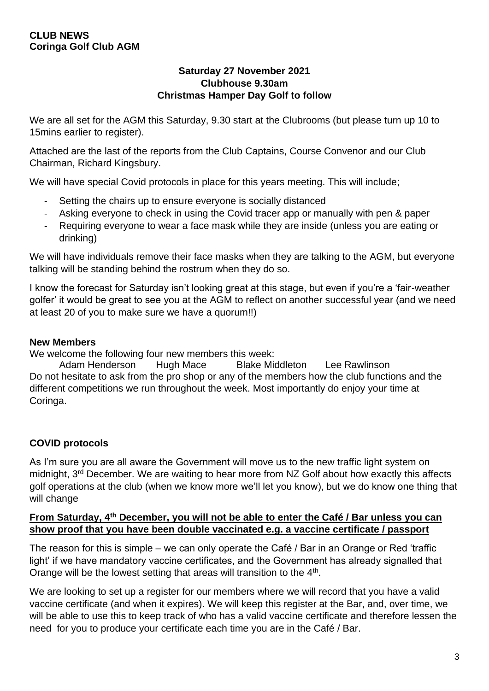#### **Saturday 27 November 2021 Clubhouse 9.30am Christmas Hamper Day Golf to follow**

We are all set for the AGM this Saturday, 9.30 start at the Clubrooms (but please turn up 10 to 15mins earlier to register).

Attached are the last of the reports from the Club Captains, Course Convenor and our Club Chairman, Richard Kingsbury.

We will have special Covid protocols in place for this years meeting. This will include;

- Setting the chairs up to ensure everyone is socially distanced
- Asking everyone to check in using the Covid tracer app or manually with pen & paper
- Requiring everyone to wear a face mask while they are inside (unless you are eating or drinking)

We will have individuals remove their face masks when they are talking to the AGM, but everyone talking will be standing behind the rostrum when they do so.

I know the forecast for Saturday isn't looking great at this stage, but even if you're a 'fair-weather golfer' it would be great to see you at the AGM to reflect on another successful year (and we need at least 20 of you to make sure we have a quorum!!)

### **New Members**

We welcome the following four new members this week:

Adam Henderson Hugh Mace Blake Middleton Lee Rawlinson Do not hesitate to ask from the pro shop or any of the members how the club functions and the different competitions we run throughout the week. Most importantly do enjoy your time at Coringa.

## **COVID protocols**

As I'm sure you are all aware the Government will move us to the new traffic light system on midnight, 3rd December. We are waiting to hear more from NZ Golf about how exactly this affects golf operations at the club (when we know more we'll let you know), but we do know one thing that will change

#### **From Saturday, 4th December, you will not be able to enter the Café / Bar unless you can show proof that you have been double vaccinated e.g. a vaccine certificate / passport**

The reason for this is simple – we can only operate the Café / Bar in an Orange or Red 'traffic light' if we have mandatory vaccine certificates, and the Government has already signalled that Orange will be the lowest setting that areas will transition to the 4<sup>th</sup>.

We are looking to set up a register for our members where we will record that you have a valid vaccine certificate (and when it expires). We will keep this register at the Bar, and, over time, we will be able to use this to keep track of who has a valid vaccine certificate and therefore lessen the need for you to produce your certificate each time you are in the Café / Bar.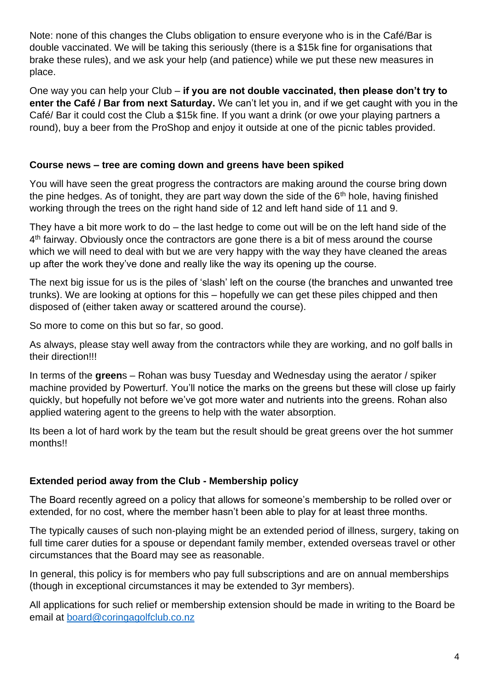Note: none of this changes the Clubs obligation to ensure everyone who is in the Café/Bar is double vaccinated. We will be taking this seriously (there is a \$15k fine for organisations that brake these rules), and we ask your help (and patience) while we put these new measures in place.

One way you can help your Club – **if you are not double vaccinated, then please don't try to enter the Café / Bar from next Saturday.** We can't let you in, and if we get caught with you in the Café/ Bar it could cost the Club a \$15k fine. If you want a drink (or owe your playing partners a round), buy a beer from the ProShop and enjoy it outside at one of the picnic tables provided.

### **Course news – tree are coming down and greens have been spiked**

You will have seen the great progress the contractors are making around the course bring down the pine hedges. As of tonight, they are part way down the side of the  $6<sup>th</sup>$  hole, having finished working through the trees on the right hand side of 12 and left hand side of 11 and 9.

They have a bit more work to do – the last hedge to come out will be on the left hand side of the 4<sup>th</sup> fairway. Obviously once the contractors are gone there is a bit of mess around the course which we will need to deal with but we are very happy with the way they have cleaned the areas up after the work they've done and really like the way its opening up the course.

The next big issue for us is the piles of 'slash' left on the course (the branches and unwanted tree trunks). We are looking at options for this – hopefully we can get these piles chipped and then disposed of (either taken away or scattered around the course).

So more to come on this but so far, so good.

As always, please stay well away from the contractors while they are working, and no golf balls in their direction!!!

In terms of the **green**s – Rohan was busy Tuesday and Wednesday using the aerator / spiker machine provided by Powerturf. You'll notice the marks on the greens but these will close up fairly quickly, but hopefully not before we've got more water and nutrients into the greens. Rohan also applied watering agent to the greens to help with the water absorption.

Its been a lot of hard work by the team but the result should be great greens over the hot summer months!!

## **Extended period away from the Club - Membership policy**

The Board recently agreed on a policy that allows for someone's membership to be rolled over or extended, for no cost, where the member hasn't been able to play for at least three months.

The typically causes of such non-playing might be an extended period of illness, surgery, taking on full time carer duties for a spouse or dependant family member, extended overseas travel or other circumstances that the Board may see as reasonable.

In general, this policy is for members who pay full subscriptions and are on annual memberships (though in exceptional circumstances it may be extended to 3yr members).

All applications for such relief or membership extension should be made in writing to the Board be email at [board@coringagolfclub.co.nz](mailto:board@coringagolfclub.co.nz)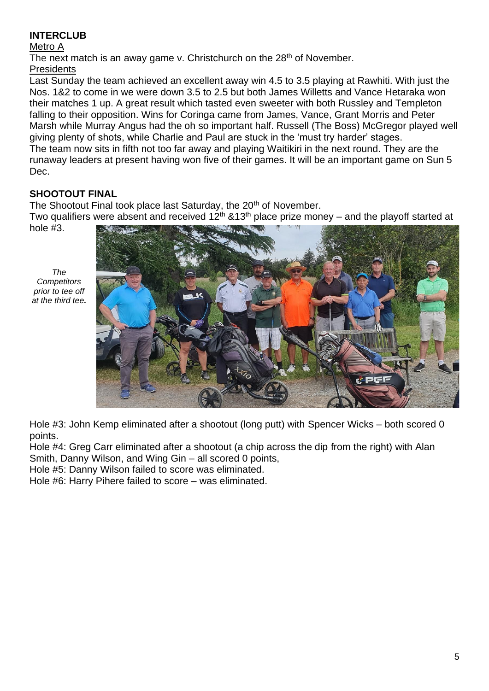## **INTERCLUB**

#### Metro A

The next match is an away game v. Christchurch on the 28<sup>th</sup> of November. **Presidents** 

Last Sunday the team achieved an excellent away win 4.5 to 3.5 playing at Rawhiti. With just the Nos. 1&2 to come in we were down 3.5 to 2.5 but both James Willetts and Vance Hetaraka won their matches 1 up. A great result which tasted even sweeter with both Russley and Templeton falling to their opposition. Wins for Coringa came from James, Vance, Grant Morris and Peter Marsh while Murray Angus had the oh so important half. Russell (The Boss) McGregor played well giving plenty of shots, while Charlie and Paul are stuck in the 'must try harder' stages. The team now sits in fifth not too far away and playing Waitikiri in the next round. They are the runaway leaders at present having won five of their games. It will be an important game on Sun 5 Dec.

# **SHOOTOUT FINAL**

The Shootout Final took place last Saturday, the 20<sup>th</sup> of November.

Two qualifiers were absent and received 12<sup>th</sup> &13<sup>th</sup> place prize money – and the playoff started at

hole #3.

*The Competitors prior to tee off at the third tee.*



Hole #3: John Kemp eliminated after a shootout (long putt) with Spencer Wicks – both scored 0 points.

Hole #4: Greg Carr eliminated after a shootout (a chip across the dip from the right) with Alan Smith, Danny Wilson, and Wing Gin – all scored 0 points,

Hole #5: Danny Wilson failed to score was eliminated.

Hole #6: Harry Pihere failed to score – was eliminated.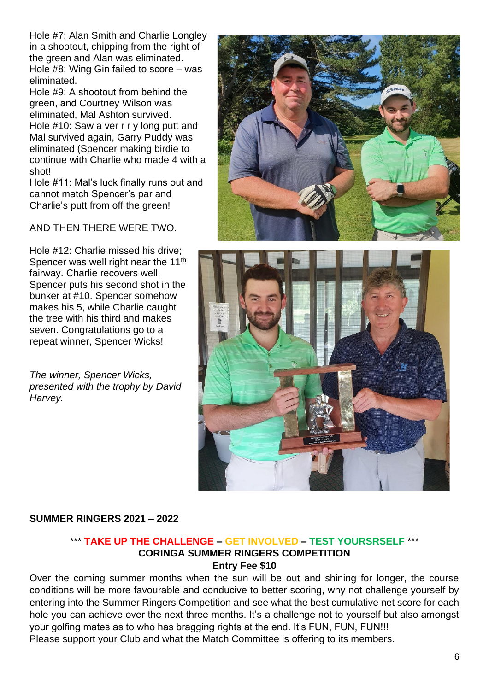Hole #7: Alan Smith and Charlie Longley in a shootout, chipping from the right of the green and Alan was eliminated. Hole #8: Wing Gin failed to score – was eliminated.

Hole #9: A shootout from behind the green, and Courtney Wilson was eliminated, Mal Ashton survived. Hole #10: Saw a ver r r y long putt and Mal survived again, Garry Puddy was eliminated (Spencer making birdie to continue with Charlie who made 4 with a shot!

Hole #11: Mal's luck finally runs out and cannot match Spencer's par and Charlie's putt from off the green!

AND THEN THERE WERE TWO.

Hole #12: Charlie missed his drive; Spencer was well right near the  $11<sup>th</sup>$ fairway. Charlie recovers well, Spencer puts his second shot in the bunker at #10. Spencer somehow makes his 5, while Charlie caught the tree with his third and makes seven. Congratulations go to a repeat winner, Spencer Wicks!

*The winner, Spencer Wicks, presented with the trophy by David Harvey.*





### **SUMMER RINGERS 2021 – 2022**

#### \*\*\* **TAKE UP THE CHALLENGE – GET INVOLVED – TEST YOURSRSELF** \*\*\* **CORINGA SUMMER RINGERS COMPETITION Entry Fee \$10**

Over the coming summer months when the sun will be out and shining for longer, the course conditions will be more favourable and conducive to better scoring, why not challenge yourself by entering into the Summer Ringers Competition and see what the best cumulative net score for each hole you can achieve over the next three months. It's a challenge not to yourself but also amongst your golfing mates as to who has bragging rights at the end. It's FUN, FUN, FUN!!! Please support your Club and what the Match Committee is offering to its members.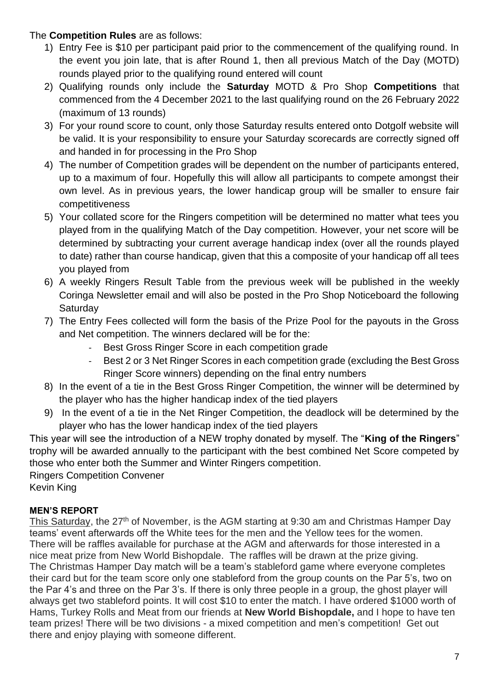## The **Competition Rules** are as follows:

- 1) Entry Fee is \$10 per participant paid prior to the commencement of the qualifying round. In the event you join late, that is after Round 1, then all previous Match of the Day (MOTD) rounds played prior to the qualifying round entered will count
- 2) Qualifying rounds only include the **Saturday** MOTD & Pro Shop **Competitions** that commenced from the 4 December 2021 to the last qualifying round on the 26 February 2022 (maximum of 13 rounds)
- 3) For your round score to count, only those Saturday results entered onto Dotgolf website will be valid. It is your responsibility to ensure your Saturday scorecards are correctly signed off and handed in for processing in the Pro Shop
- 4) The number of Competition grades will be dependent on the number of participants entered, up to a maximum of four. Hopefully this will allow all participants to compete amongst their own level. As in previous years, the lower handicap group will be smaller to ensure fair competitiveness
- 5) Your collated score for the Ringers competition will be determined no matter what tees you played from in the qualifying Match of the Day competition. However, your net score will be determined by subtracting your current average handicap index (over all the rounds played to date) rather than course handicap, given that this a composite of your handicap off all tees you played from
- 6) A weekly Ringers Result Table from the previous week will be published in the weekly Coringa Newsletter email and will also be posted in the Pro Shop Noticeboard the following **Saturday**
- 7) The Entry Fees collected will form the basis of the Prize Pool for the payouts in the Gross and Net competition. The winners declared will be for the:
	- Best Gross Ringer Score in each competition grade
	- Best 2 or 3 Net Ringer Scores in each competition grade (excluding the Best Gross Ringer Score winners) depending on the final entry numbers
- 8) In the event of a tie in the Best Gross Ringer Competition, the winner will be determined by the player who has the higher handicap index of the tied players
- 9) In the event of a tie in the Net Ringer Competition, the deadlock will be determined by the player who has the lower handicap index of the tied players

This year will see the introduction of a NEW trophy donated by myself. The "**King of the Ringers**" trophy will be awarded annually to the participant with the best combined Net Score competed by those who enter both the Summer and Winter Ringers competition.

Ringers Competition Convener

Kevin King

## **MEN'S REPORT**

This Saturday, the 27<sup>th</sup> of November, is the AGM starting at 9:30 am and Christmas Hamper Day teams' event afterwards off the White tees for the men and the Yellow tees for the women. There will be raffles available for purchase at the AGM and afterwards for those interested in a nice meat prize from New World Bishopdale. The raffles will be drawn at the prize giving. The Christmas Hamper Day match will be a team's stableford game where everyone completes their card but for the team score only one stableford from the group counts on the Par 5's, two on the Par 4's and three on the Par 3's. If there is only three people in a group, the ghost player will always get two stableford points. It will cost \$10 to enter the match. I have ordered \$1000 worth of Hams, Turkey Rolls and Meat from our friends at **New World Bishopdale,** and I hope to have ten team prizes! There will be two divisions - a mixed competition and men's competition! Get out there and enjoy playing with someone different.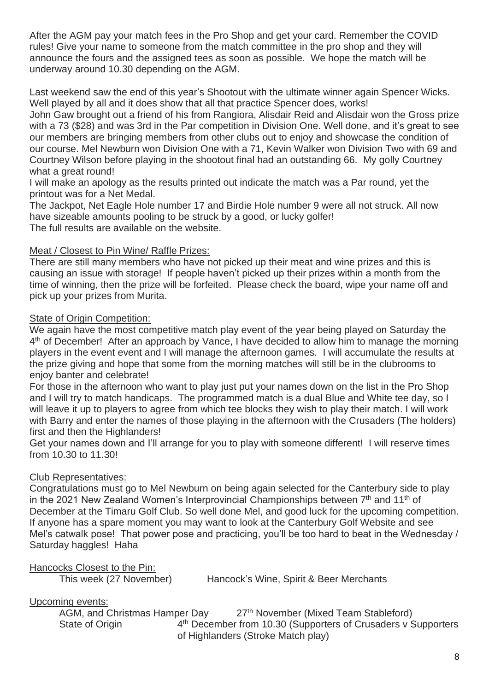After the AGM pay your match fees in the Pro Shop and get your card. Remember the COVID rules! Give your name to someone from the match committee in the pro shop and they will announce the fours and the assigned tees as soon as possible. We hope the match will be underway around 10.30 depending on the AGM.

Last weekend saw the end of this year's Shootout with the ultimate winner again Spencer Wicks. Well played by all and it does show that all that practice Spencer does, works!

John Gaw brought out a friend of his from Rangiora, Alisdair Reid and Alisdair won the Gross prize with a 73 (\$28) and was 3rd in the Par competition in Division One. Well done, and it's great to see our members are bringing members from other clubs out to enjoy and showcase the condition of our course. Mel Newburn won Division One with a 71, Kevin Walker won Division Two with 69 and Courtney Wilson before playing in the shootout final had an outstanding 66. My golly Courtney what a great round!

I will make an apology as the results printed out indicate the match was a Par round, yet the printout was for a Net Medal.

The Jackpot, Net Eagle Hole number 17 and Birdie Hole number 9 were all not struck. All now have sizeable amounts pooling to be struck by a good, or lucky golfer! The full results are available on the website.

### Meat / Closest to Pin Wine/ Raffle Prizes:

There are still many members who have not picked up their meat and wine prizes and this is causing an issue with storage! If people haven't picked up their prizes within a month from the time of winning, then the prize will be forfeited. Please check the board, wipe your name off and pick up your prizes from Murita.

#### State of Origin Competition:

We again have the most competitive match play event of the year being played on Saturday the 4<sup>th</sup> of December! After an approach by Vance, I have decided to allow him to manage the morning players in the event event and I will manage the afternoon games. I will accumulate the results at the prize giving and hope that some from the morning matches will still be in the clubrooms to enjoy banter and celebrate!

For those in the afternoon who want to play just put your names down on the list in the Pro Shop and I will try to match handicaps. The programmed match is a dual Blue and White tee day, so I will leave it up to players to agree from which tee blocks they wish to play their match. I will work with Barry and enter the names of those playing in the afternoon with the Crusaders (The holders) first and then the Highlanders!

Get your names down and I'll arrange for you to play with someone different! I will reserve times from 10.30 to 11.30!

### Club Representatives:

Congratulations must go to Mel Newburn on being again selected for the Canterbury side to play in the 2021 New Zealand Women's Interprovincial Championships between  $7<sup>th</sup>$  and 11<sup>th</sup> of December at the Timaru Golf Club. So well done Mel, and good luck for the upcoming competition. If anyone has a spare moment you may want to look at the Canterbury Golf Website and see Mel's catwalk pose! That power pose and practicing, you'll be too hard to beat in the Wednesday / Saturday haggles! Haha

### Hancocks Closest to the Pin:

This week (27 November) Hancock's Wine, Spirit & Beer Merchants

#### Upcoming events:

AGM, and Christmas Hamper Day 27<sup>th</sup> November (Mixed Team Stableford) State of Origin 4<sup>th</sup> December from 10.30 (Supporters of Crusaders v Supporters of Highlanders (Stroke Match play)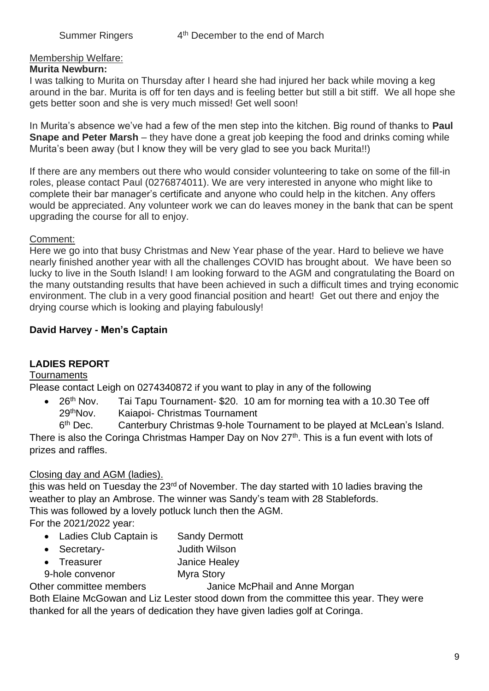### Membership Welfare:

#### **Murita Newburn:**

I was talking to Murita on Thursday after I heard she had injured her back while moving a keg around in the bar. Murita is off for ten days and is feeling better but still a bit stiff. We all hope she gets better soon and she is very much missed! Get well soon!

In Murita's absence we've had a few of the men step into the kitchen. Big round of thanks to **Paul Snape and Peter Marsh** – they have done a great job keeping the food and drinks coming while Murita's been away (but I know they will be very glad to see you back Murita!!)

If there are any members out there who would consider volunteering to take on some of the fill-in roles, please contact Paul (0276874011). We are very interested in anyone who might like to complete their bar manager's certificate and anyone who could help in the kitchen. Any offers would be appreciated. Any volunteer work we can do leaves money in the bank that can be spent upgrading the course for all to enjoy.

#### Comment:

Here we go into that busy Christmas and New Year phase of the year. Hard to believe we have nearly finished another year with all the challenges COVID has brought about. We have been so lucky to live in the South Island! I am looking forward to the AGM and congratulating the Board on the many outstanding results that have been achieved in such a difficult times and trying economic environment. The club in a very good financial position and heart! Get out there and enjoy the drying course which is looking and playing fabulously!

### **David Harvey - Men's Captain**

### **LADIES REPORT**

#### Tournaments

Please contact Leigh on 0274340872 if you want to play in any of the following

• 26<sup>th</sup> Nov. Tai Tapu Tournament- \$20. 10 am for morning tea with a 10.30 Tee off 29thNov. Kaiapoi- Christmas Tournament

 $6<sup>th</sup>$  Dec. Canterbury Christmas 9-hole Tournament to be played at McLean's Island. There is also the Coringa Christmas Hamper Day on Nov 27<sup>th</sup>. This is a fun event with lots of prizes and raffles.

### Closing day and AGM (ladies).

this was held on Tuesday the 23<sup>rd</sup> of November. The day started with 10 ladies braving the weather to play an Ambrose. The winner was Sandy's team with 28 Stablefords. This was followed by a lovely potluck lunch then the AGM.

For the 2021/2022 year:

- Ladies Club Captain is Sandy Dermott
- Secretary- Judith Wilson
- Treasurer Janice Healey
- 9-hole convenor Myra Story

Other committee members Janice McPhail and Anne Morgan

Both Elaine McGowan and Liz Lester stood down from the committee this year. They were thanked for all the years of dedication they have given ladies golf at Coringa.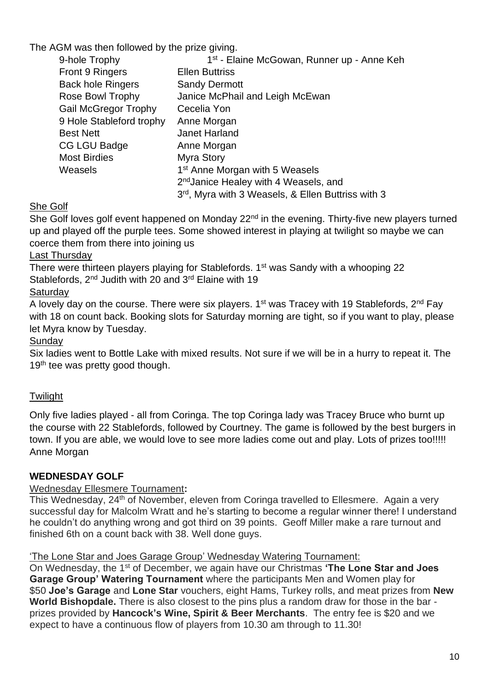The AGM was then followed by the prize giving.

| 9-hole Trophy               | 1 <sup>st</sup> - Elaine McGowan, Runner up - Anne Keh |
|-----------------------------|--------------------------------------------------------|
| Front 9 Ringers             | <b>Ellen Buttriss</b>                                  |
| <b>Back hole Ringers</b>    | <b>Sandy Dermott</b>                                   |
| Rose Bowl Trophy            | Janice McPhail and Leigh McEwan                        |
| <b>Gail McGregor Trophy</b> | Cecelia Yon                                            |
| 9 Hole Stableford trophy    | Anne Morgan                                            |
| <b>Best Nett</b>            | Janet Harland                                          |
| CG LGU Badge                | Anne Morgan                                            |
| <b>Most Birdies</b>         | Myra Story                                             |
| Weasels                     | 1 <sup>st</sup> Anne Morgan with 5 Weasels             |
|                             | 2 <sup>nd</sup> Janice Healey with 4 Weasels, and      |
|                             | 3rd, Myra with 3 Weasels, & Ellen Buttriss with 3      |

She Golf

She Golf loves golf event happened on Monday 22<sup>nd</sup> in the evening. Thirty-five new players turned up and played off the purple tees. Some showed interest in playing at twilight so maybe we can coerce them from there into joining us

# Last Thursday

There were thirteen players playing for Stablefords. 1<sup>st</sup> was Sandy with a whooping 22 Stablefords, 2<sup>nd</sup> Judith with 20 and 3<sup>rd</sup> Elaine with 19

# **Saturdav**

A lovely day on the course. There were six players.  $1<sup>st</sup>$  was Tracey with 19 Stablefords,  $2<sup>nd</sup>$  Fay with 18 on count back. Booking slots for Saturday morning are tight, so if you want to play, please let Myra know by Tuesday.

**Sundav** 

Six ladies went to Bottle Lake with mixed results. Not sure if we will be in a hurry to repeat it. The 19<sup>th</sup> tee was pretty good though.

# **Twilight**

Only five ladies played - all from Coringa. The top Coringa lady was Tracey Bruce who burnt up the course with 22 Stablefords, followed by Courtney. The game is followed by the best burgers in town. If you are able, we would love to see more ladies come out and play. Lots of prizes too!!!!! Anne Morgan

# **WEDNESDAY GOLF**

# Wednesday Ellesmere Tournament**:**

This Wednesday, 24<sup>th</sup> of November, eleven from Coringa travelled to Ellesmere. Again a very successful day for Malcolm Wratt and he's starting to become a regular winner there! I understand he couldn't do anything wrong and got third on 39 points. Geoff Miller make a rare turnout and finished 6th on a count back with 38. Well done guys.

## 'The Lone Star and Joes Garage Group' Wednesday Watering Tournament:

On Wednesday, the 1<sup>st</sup> of December, we again have our Christmas 'The Lone Star and Joes **Garage Group' Watering Tournament** where the participants Men and Women play for \$50 **Joe's Garage** and **Lone Star** vouchers, eight Hams, Turkey rolls, and meat prizes from **New World Bishopdale.** There is also closest to the pins plus a random draw for those in the bar prizes provided by **Hancock's Wine, Spirit & Beer Merchants**. The entry fee is \$20 and we expect to have a continuous flow of players from 10.30 am through to 11.30!